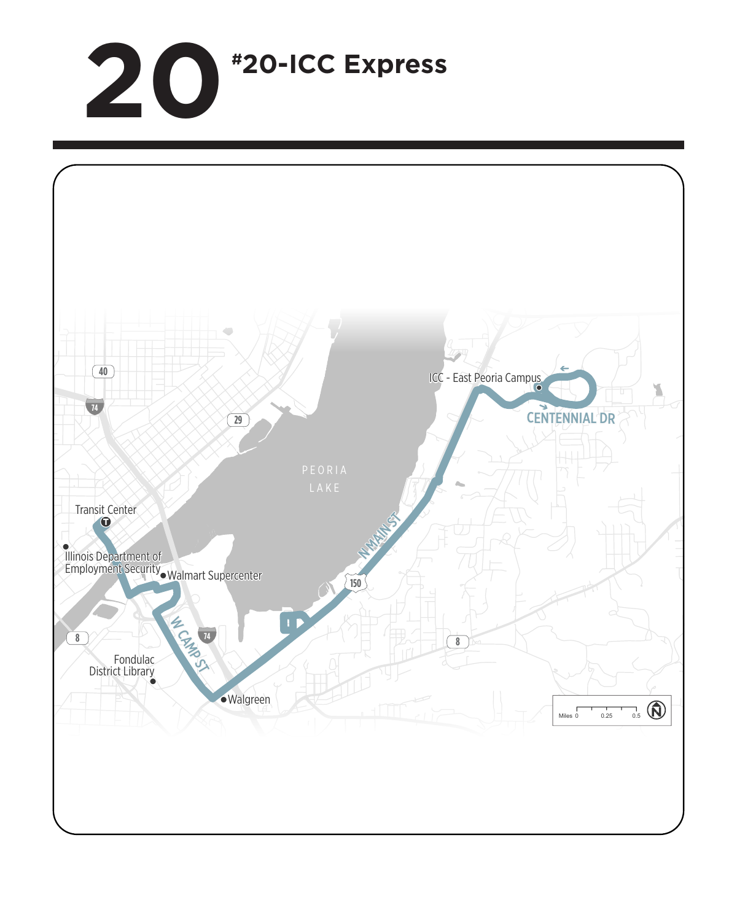